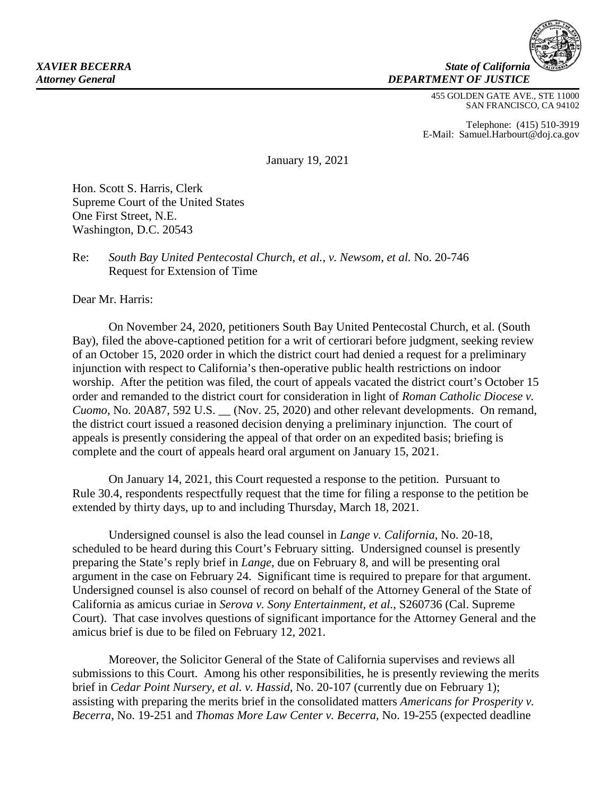

455 GOLDEN GATE AVE., STE 11000 SAN FRANCISCO, CA 94102

Telephone: (415) 510-3919 E-Mail: Samuel.Harbourt@doj.ca.gov

January 19, 2021

Hon. Scott S. Harris, Clerk Supreme Court of the United States One First Street, N.E. Washington, D.C. 20543

Re: *South Bay United Pentecostal Church*, *et al.*, *v. Newsom, et al.* No. 20-746 Request for Extension of Time

Dear Mr. Harris:

On November 24, 2020, petitioners South Bay United Pentecostal Church, et al*.* (South Bay), filed the above-captioned petition for a writ of certiorari before judgment, seeking review of an October 15, 2020 order in which the district court had denied a request for a preliminary injunction with respect to California's then-operative public health restrictions on indoor worship. After the petition was filed, the court of appeals vacated the district court's October 15 order and remanded to the district court for consideration in light of *Roman Catholic Diocese v. Cuomo*, No. 20A87, 592 U.S. (Nov. 25, 2020) and other relevant developments. On remand, the district court issued a reasoned decision denying a preliminary injunction. The court of appeals is presently considering the appeal of that order on an expedited basis; briefing is complete and the court of appeals heard oral argument on January 15, 2021.

On January 14, 2021, this Court requested a response to the petition. Pursuant to Rule 30.4, respondents respectfully request that the time for filing a response to the petition be extended by thirty days, up to and including Thursday, March 18, 2021.

Undersigned counsel is also the lead counsel in *Lange v. California*, No. 20-18, scheduled to be heard during this Court's February sitting. Undersigned counsel is presently preparing the State's reply brief in *Lange*, due on February 8, and will be presenting oral argument in the case on February 24. Significant time is required to prepare for that argument. Undersigned counsel is also counsel of record on behalf of the Attorney General of the State of California as amicus curiae in *Serova v. Sony Entertainment, et al.*, S260736 (Cal. Supreme Court). That case involves questions of significant importance for the Attorney General and the amicus brief is due to be filed on February 12, 2021.

Moreover, the Solicitor General of the State of California supervises and reviews all submissions to this Court. Among his other responsibilities, he is presently reviewing the merits brief in *Cedar Point Nursery, et al. v. Hassid*, No. 20-107 (currently due on February 1); assisting with preparing the merits brief in the consolidated matters *Americans for Prosperity v. Becerra*, No. 19-251 and *Thomas More Law Center v. Becerra*, No. 19-255 (expected deadline